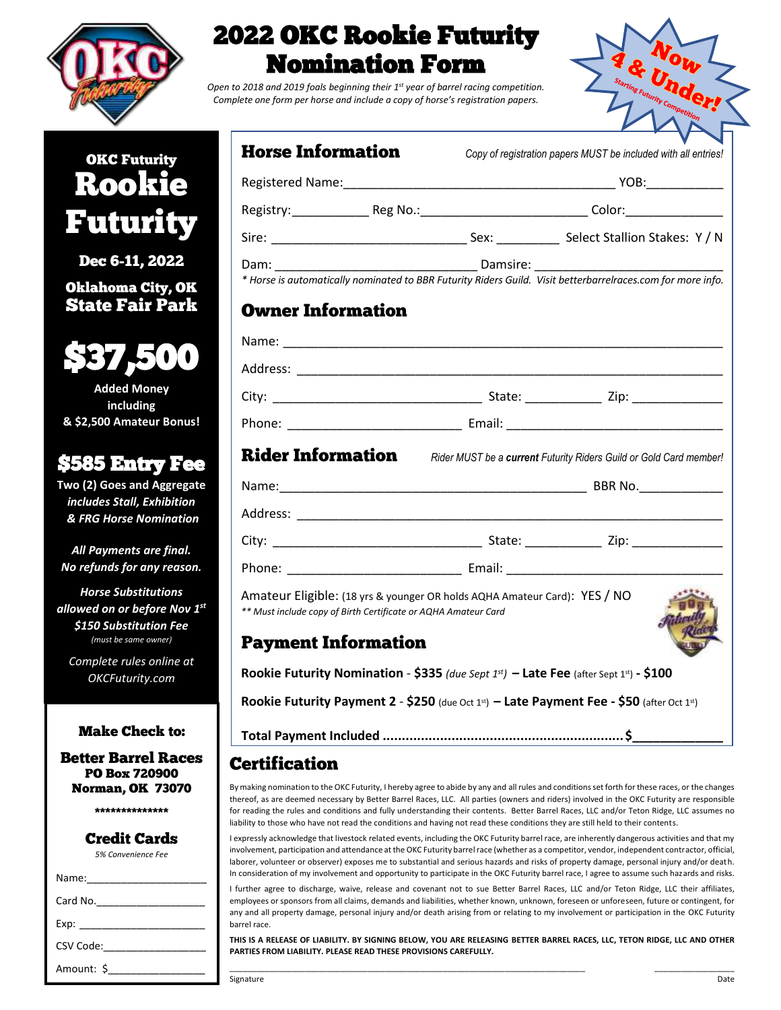

# 2022 OKC Rookie Futurity Nomination Form

*Open to 2018 and 2019 foals beginning their 1st year of barrel racing competition. Complete one form per horse and include a copy of horse's registration papers.*



# OKC Futurity Rookie Futurity

Dec 6-11, 2022

Oklahoma City, OK State Fair Park



**Added Money including & \$2,500 Amateur Bonus!**

## \$585 Entry Fee

**Two (2) Goes and Aggregate**  *includes Stall, Exhibition & FRG Horse Nomination*

*All Payments are final. No refunds for any reason.*

*Horse Substitutions allowed on or before Nov 1 st \$150 Substitution Fee (must be same owner)*

*Complete rules online at OKCFuturity.com*

#### Make Check to:

Better Barrel Races PO Box 720900 Norman, OK 73070

\*\*\*\*\*\*\*\*\*\*\*\*\*\*

### Credit Cards

*5% Convenience Fee*

| Card No.   |
|------------|
|            |
| CSV Code:  |
| Amount: \$ |

| <b>Horse Information</b> |                                                                                                                                             |                                                                                                     | Copy of registration papers MUST be included with all entries!                                                                                                                                                                 |  |  |
|--------------------------|---------------------------------------------------------------------------------------------------------------------------------------------|-----------------------------------------------------------------------------------------------------|--------------------------------------------------------------------------------------------------------------------------------------------------------------------------------------------------------------------------------|--|--|
|                          |                                                                                                                                             |                                                                                                     |                                                                                                                                                                                                                                |  |  |
|                          |                                                                                                                                             | Registry: ___________________Reg No.:___________________________________Color:_____________________ |                                                                                                                                                                                                                                |  |  |
|                          |                                                                                                                                             |                                                                                                     |                                                                                                                                                                                                                                |  |  |
|                          |                                                                                                                                             |                                                                                                     |                                                                                                                                                                                                                                |  |  |
|                          |                                                                                                                                             |                                                                                                     | * Horse is automatically nominated to BBR Futurity Riders Guild. Visit betterbarrelraces.com for more info.                                                                                                                    |  |  |
| <b>Owner Information</b> |                                                                                                                                             |                                                                                                     |                                                                                                                                                                                                                                |  |  |
|                          |                                                                                                                                             |                                                                                                     |                                                                                                                                                                                                                                |  |  |
|                          |                                                                                                                                             |                                                                                                     |                                                                                                                                                                                                                                |  |  |
|                          |                                                                                                                                             |                                                                                                     |                                                                                                                                                                                                                                |  |  |
|                          |                                                                                                                                             |                                                                                                     |                                                                                                                                                                                                                                |  |  |
|                          |                                                                                                                                             |                                                                                                     | <b>Rider Information</b> Rider MUST be a current Futurity Riders Guild or Gold Card member!                                                                                                                                    |  |  |
|                          |                                                                                                                                             |                                                                                                     |                                                                                                                                                                                                                                |  |  |
|                          |                                                                                                                                             |                                                                                                     |                                                                                                                                                                                                                                |  |  |
|                          |                                                                                                                                             |                                                                                                     |                                                                                                                                                                                                                                |  |  |
|                          |                                                                                                                                             |                                                                                                     | Phone: Email: Email: Email: Email: Email: Email: Email: Email: Email: Email: Email: Email: Email: Email: Email: Email: Email: Email: Email: Email: Email: Email: Email: Email: Email: Email: Email: Email: Email: Email: Email |  |  |
|                          | Amateur Eligible: (18 yrs & younger OR holds AQHA Amateur Card): YES / NO<br>** Must include copy of Birth Certificate or AQHA Amateur Card |                                                                                                     |                                                                                                                                                                                                                                |  |  |
|                          | <b>Payment Information</b>                                                                                                                  |                                                                                                     |                                                                                                                                                                                                                                |  |  |
|                          |                                                                                                                                             |                                                                                                     | Rookie Futurity Nomination - \$335 (due Sept $1^{st}$ ) – Late Fee (after Sept $1^{st}$ ) - \$100                                                                                                                              |  |  |

**Rookie Futurity Payment 2** - **\$250** (due Oct 1 st) **– Late Payment Fee - \$50** (after Oct 1st)

**Total Payment Included ...............................................................\$\_\_\_\_\_\_\_\_\_\_\_\_\_**

### Certification

By making nomination to the OKC Futurity, I hereby agree to abide by any and all rules and conditions set forth for these races, or the changes thereof, as are deemed necessary by Better Barrel Races, LLC. All parties (owners and riders) involved in the OKC Futurity are responsible for reading the rules and conditions and fully understanding their contents. Better Barrel Races, LLC and/or Teton Ridge, LLC assumes no liability to those who have not read the conditions and having not read these conditions they are still held to their contents.

I expressly acknowledge that livestock related events, including the OKC Futurity barrel race, are inherently dangerous activities and that my involvement, participation and attendance at the OKC Futurity barrel race (whether as a competitor, vendor, independent contractor, official, laborer, volunteer or observer) exposes me to substantial and serious hazards and risks of property damage, personal injury and/or death. In consideration of my involvement and opportunity to participate in the OKC Futurity barrel race, I agree to assume such hazards and risks.

I further agree to discharge, waive, release and covenant not to sue Better Barrel Races, LLC and/or Teton Ridge, LLC their affiliates, employees or sponsors from all claims, demands and liabilities, whether known, unknown, foreseen or unforeseen, future or contingent, for any and all property damage, personal injury and/or death arising from or relating to my involvement or participation in the OKC Futurity barrel race.

**THIS IS A RELEASE OF LIABILITY. BY SIGNING BELOW, YOU ARE RELEASING BETTER BARREL RACES, LLC, TETON RIDGE, LLC AND OTHER PARTIES FROM LIABILITY. PLEASE READ THESE PROVISIONS CAREFULLY.**